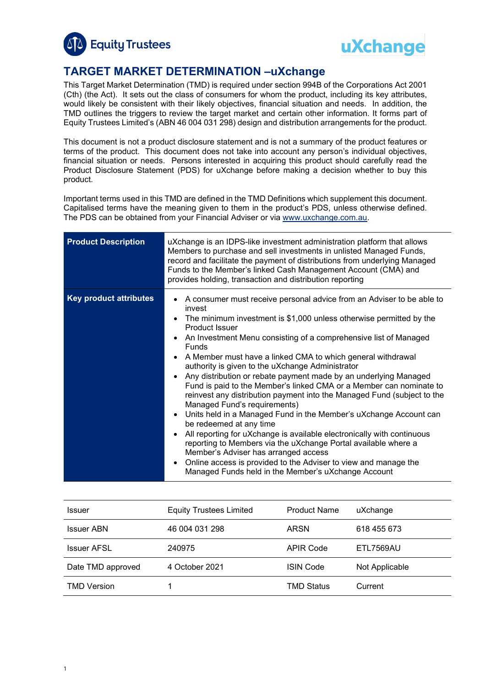



# **TARGET MARKET DETERMINATION –uXchange**

This Target Market Determination (TMD) is required under section 994B of the Corporations Act 2001 (Cth) (the Act). It sets out the class of consumers for whom the product, including its key attributes, would likely be consistent with their likely objectives, financial situation and needs. In addition, the TMD outlines the triggers to review the target market and certain other information. It forms part of Equity Trustees Limited's (ABN 46 004 031 298) design and distribution arrangements for the product.

This document is not a product disclosure statement and is not a summary of the product features or terms of the product. This document does not take into account any person's individual objectives, financial situation or needs. Persons interested in acquiring this product should carefully read the Product Disclosure Statement (PDS) for uXchange before making a decision whether to buy this product.

Important terms used in this TMD are defined in the TMD Definitions which supplement this document. Capitalised terms have the meaning given to them in the product's PDS, unless otherwise defined. The PDS can be obtained from your Financial Adviser or via [www.uxchange.com.au.](http://www.uxchange.com.au/)

| <b>Product Description</b>    | uXchange is an IDPS-like investment administration platform that allows<br>Members to purchase and sell investments in unlisted Managed Funds,<br>record and facilitate the payment of distributions from underlying Managed<br>Funds to the Member's linked Cash Management Account (CMA) and<br>provides holding, transaction and distribution reporting                                                                                                                                                                                                                                                                                                                                                                                                                                                                                                                                                                                                                                                                                                                                                                                            |
|-------------------------------|-------------------------------------------------------------------------------------------------------------------------------------------------------------------------------------------------------------------------------------------------------------------------------------------------------------------------------------------------------------------------------------------------------------------------------------------------------------------------------------------------------------------------------------------------------------------------------------------------------------------------------------------------------------------------------------------------------------------------------------------------------------------------------------------------------------------------------------------------------------------------------------------------------------------------------------------------------------------------------------------------------------------------------------------------------------------------------------------------------------------------------------------------------|
| <b>Key product attributes</b> | A consumer must receive personal advice from an Adviser to be able to<br>$\bullet$<br>invest<br>The minimum investment is \$1,000 unless otherwise permitted by the<br>$\bullet$<br><b>Product Issuer</b><br>An Investment Menu consisting of a comprehensive list of Managed<br>$\bullet$<br><b>Funds</b><br>A Member must have a linked CMA to which general withdrawal<br>$\bullet$<br>authority is given to the uXchange Administrator<br>Any distribution or rebate payment made by an underlying Managed<br>Fund is paid to the Member's linked CMA or a Member can nominate to<br>reinvest any distribution payment into the Managed Fund (subject to the<br>Managed Fund's requirements)<br>Units held in a Managed Fund in the Member's uXchange Account can<br>$\bullet$<br>be redeemed at any time<br>All reporting for uXchange is available electronically with continuous<br>$\bullet$<br>reporting to Members via the uXchange Portal available where a<br>Member's Adviser has arranged access<br>Online access is provided to the Adviser to view and manage the<br>$\bullet$<br>Managed Funds held in the Member's uXchange Account |

| <b>Issuer</b>      | <b>Equity Trustees Limited</b> | <b>Product Name</b> | uXchange         |
|--------------------|--------------------------------|---------------------|------------------|
| <b>Issuer ABN</b>  | 46 004 031 298                 | ARSN                | 618 455 673      |
| <b>Issuer AFSL</b> | 240975                         | <b>APIR Code</b>    | <b>ETL7569AU</b> |
| Date TMD approved  | 4 October 2021                 | <b>ISIN Code</b>    | Not Applicable   |
| <b>TMD Version</b> |                                | <b>TMD Status</b>   | Current          |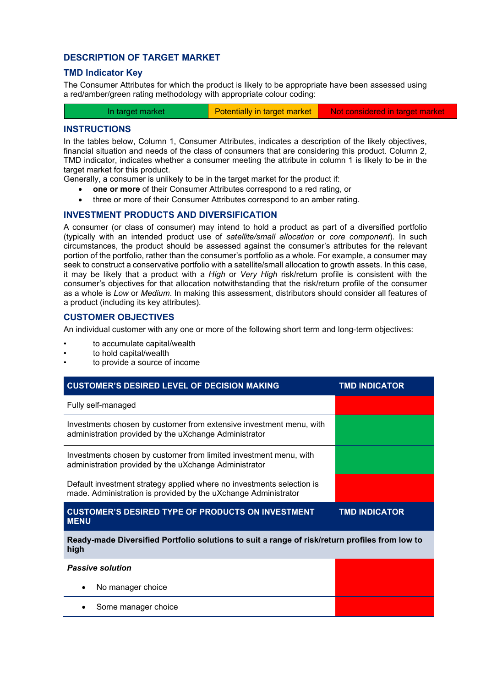## **DESCRIPTION OF TARGET MARKET**

### **TMD Indicator Key**

The Consumer Attributes for which the product is likely to be appropriate have been assessed using a red/amber/green rating methodology with appropriate colour coding:

| In target market | Potentially in target market | Not considered in target market |
|------------------|------------------------------|---------------------------------|
|                  |                              |                                 |

### **INSTRUCTIONS**

In the tables below, Column 1, Consumer Attributes, indicates a description of the likely objectives, financial situation and needs of the class of consumers that are considering this product. Column 2, TMD indicator, indicates whether a consumer meeting the attribute in column 1 is likely to be in the target market for this product.

Generally, a consumer is unlikely to be in the target market for the product if:

- **one or more** of their Consumer Attributes correspond to a red rating, or
- three or more of their Consumer Attributes correspond to an amber rating.

# **INVESTMENT PRODUCTS AND DIVERSIFICATION**

A consumer (or class of consumer) may intend to hold a product as part of a diversified portfolio (typically with an intended product use of *satellite/small allocation* or *core component*). In such circumstances, the product should be assessed against the consumer's attributes for the relevant portion of the portfolio, rather than the consumer's portfolio as a whole. For example, a consumer may seek to construct a conservative portfolio with a satellite/small allocation to growth assets. In this case, it may be likely that a product with a *High* or *Very High* risk/return profile is consistent with the consumer's objectives for that allocation notwithstanding that the risk/return profile of the consumer as a whole is *Low* or *Medium*. In making this assessment, distributors should consider all features of a product (including its key attributes).

# **CUSTOMER OBJECTIVES**

An individual customer with any one or more of the following short term and long-term objectives:

- to accumulate capital/wealth
- to hold capital/wealth
- to provide a source of income

| <b>CUSTOMER'S DESIRED LEVEL OF DECISION MAKING</b>                                                                                      | <b>TMD INDICATOR</b> |  |
|-----------------------------------------------------------------------------------------------------------------------------------------|----------------------|--|
| Fully self-managed                                                                                                                      |                      |  |
| Investments chosen by customer from extensive investment menu, with<br>administration provided by the uXchange Administrator            |                      |  |
| Investments chosen by customer from limited investment menu, with<br>administration provided by the uXchange Administrator              |                      |  |
| Default investment strategy applied where no investments selection is<br>made. Administration is provided by the uXchange Administrator |                      |  |
| <b>CUSTOMER'S DESIRED TYPE OF PRODUCTS ON INVESTMENT</b><br><b>TMD INDICATOR</b><br><b>MENU</b>                                         |                      |  |
|                                                                                                                                         |                      |  |
| Ready-made Diversified Portfolio solutions to suit a range of risk/return profiles from low to<br>high                                  |                      |  |
| <b>Passive solution</b>                                                                                                                 |                      |  |
| No manager choice                                                                                                                       |                      |  |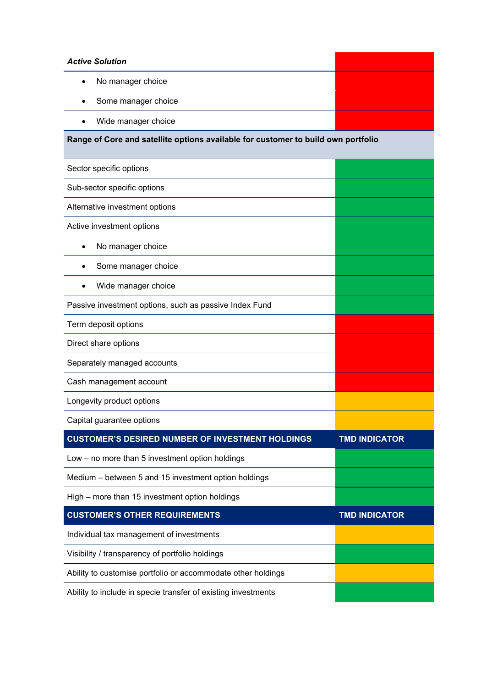| <b>Active Solution</b>                                                            |                      |  |
|-----------------------------------------------------------------------------------|----------------------|--|
| No manager choice<br>$\bullet$                                                    |                      |  |
| Some manager choice                                                               |                      |  |
| Wide manager choice<br>$\bullet$                                                  |                      |  |
| Range of Core and satellite options available for customer to build own portfolio |                      |  |
|                                                                                   |                      |  |
| Sector specific options                                                           |                      |  |
| Sub-sector specific options                                                       |                      |  |
| Alternative investment options                                                    |                      |  |
| Active investment options                                                         |                      |  |
| No manager choice<br>$\bullet$                                                    |                      |  |
| Some manager choice                                                               |                      |  |
| Wide manager choice                                                               |                      |  |
| Passive investment options, such as passive Index Fund                            |                      |  |
| Term deposit options                                                              |                      |  |
| Direct share options                                                              |                      |  |
| Separately managed accounts                                                       |                      |  |
| Cash management account                                                           |                      |  |
| Longevity product options                                                         |                      |  |
| Capital guarantee options                                                         |                      |  |
| <b>CUSTOMER'S DESIRED NUMBER OF INVESTMENT HOLDINGS</b>                           | <b>TMD INDICATOR</b> |  |
| Low - no more than 5 investment option holdings                                   |                      |  |
| Medium - between 5 and 15 investment option holdings                              |                      |  |
| High – more than 15 investment option holdings                                    |                      |  |
| <b>CUSTOMER'S OTHER REQUIREMENTS</b>                                              | <b>TMD INDICATOR</b> |  |
| Individual tax management of investments                                          |                      |  |
| Visibility / transparency of portfolio holdings                                   |                      |  |
| Ability to customise portfolio or accommodate other holdings                      |                      |  |
| Ability to include in specie transfer of existing investments                     |                      |  |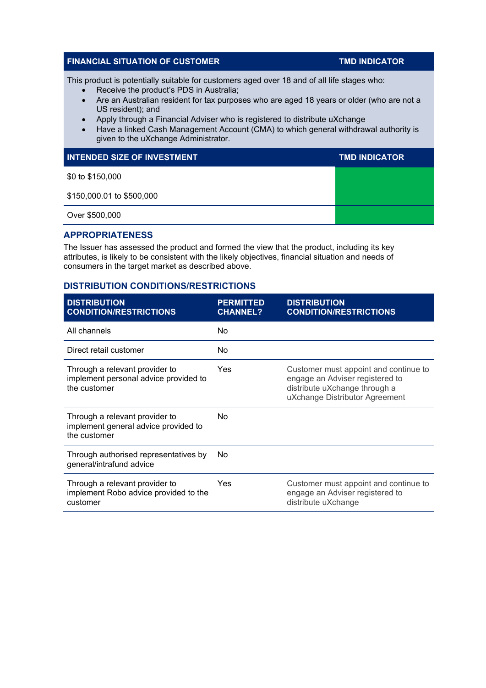# **FINANCIAL SITUATION OF CUSTOMER TIME INDICATOR**

This product is potentially suitable for customers aged over 18 and of all life stages who:

- Receive the product's PDS in Australia;
- Are an Australian resident for tax purposes who are aged 18 years or older (who are not a US resident); and
- Apply through a Financial Adviser who is registered to distribute uXchange
- Have a linked Cash Management Account (CMA) to which general withdrawal authority is given to the uXchange Administrator.

| <b>INTENDED SIZE OF INVESTMENT</b> | <b>TMD INDICATOR</b> |
|------------------------------------|----------------------|
| \$0 to \$150,000                   |                      |
| \$150,000.01 to \$500,000          |                      |
| Over \$500,000                     |                      |

### **APPROPRIATENESS**

The Issuer has assessed the product and formed the view that the product, including its key attributes, is likely to be consistent with the likely objectives, financial situation and needs of consumers in the target market as described above.

# **DISTRIBUTION CONDITIONS/RESTRICTIONS**

| <b>DISTRIBUTION</b><br><b>CONDITION/RESTRICTIONS</b>                                    | <b>PERMITTED</b><br><b>CHANNEL?</b> | <b>DISTRIBUTION</b><br><b>CONDITION/RESTRICTIONS</b>                                                                                        |
|-----------------------------------------------------------------------------------------|-------------------------------------|---------------------------------------------------------------------------------------------------------------------------------------------|
| All channels                                                                            | No                                  |                                                                                                                                             |
| Direct retail customer                                                                  | No                                  |                                                                                                                                             |
| Through a relevant provider to<br>implement personal advice provided to<br>the customer | Yes                                 | Customer must appoint and continue to<br>engage an Adviser registered to<br>distribute uXchange through a<br>uXchange Distributor Agreement |
| Through a relevant provider to<br>implement general advice provided to<br>the customer  | No.                                 |                                                                                                                                             |
| Through authorised representatives by<br>general/intrafund advice                       | No                                  |                                                                                                                                             |
| Through a relevant provider to<br>implement Robo advice provided to the<br>customer     | Yes                                 | Customer must appoint and continue to<br>engage an Adviser registered to<br>distribute uXchange                                             |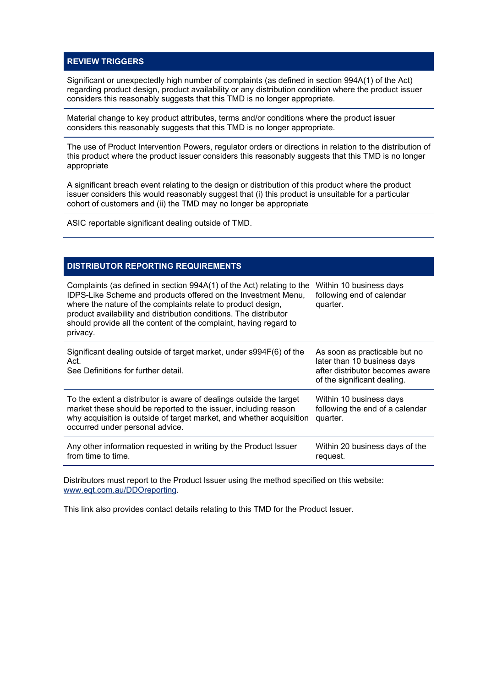# **REVIEW TRIGGERS**

Significant or unexpectedly high number of complaints (as defined in section 994A(1) of the Act) regarding product design, product availability or any distribution condition where the product issuer considers this reasonably suggests that this TMD is no longer appropriate.

Material change to key product attributes, terms and/or conditions where the product issuer considers this reasonably suggests that this TMD is no longer appropriate.

The use of Product Intervention Powers, regulator orders or directions in relation to the distribution of this product where the product issuer considers this reasonably suggests that this TMD is no longer appropriate

A significant breach event relating to the design or distribution of this product where the product issuer considers this would reasonably suggest that (i) this product is unsuitable for a particular cohort of customers and (ii) the TMD may no longer be appropriate

ASIC reportable significant dealing outside of TMD.

# **DISTRIBUTOR REPORTING REQUIREMENTS**

| Complaints (as defined in section 994A(1) of the Act) relating to the<br>IDPS-Like Scheme and products offered on the Investment Menu,<br>where the nature of the complaints relate to product design,<br>product availability and distribution conditions. The distributor<br>should provide all the content of the complaint, having regard to<br>privacy. | Within 10 business days<br>following end of calendar<br>quarter.                                                               |
|--------------------------------------------------------------------------------------------------------------------------------------------------------------------------------------------------------------------------------------------------------------------------------------------------------------------------------------------------------------|--------------------------------------------------------------------------------------------------------------------------------|
| Significant dealing outside of target market, under s994F(6) of the<br>Act.<br>See Definitions for further detail.                                                                                                                                                                                                                                           | As soon as practicable but no<br>later than 10 business days<br>after distributor becomes aware<br>of the significant dealing. |
| To the extent a distributor is aware of dealings outside the target<br>market these should be reported to the issuer, including reason<br>why acquisition is outside of target market, and whether acquisition<br>occurred under personal advice.                                                                                                            | Within 10 business days<br>following the end of a calendar<br>quarter.                                                         |
| Any other information requested in writing by the Product Issuer<br>from time to time.                                                                                                                                                                                                                                                                       | Within 20 business days of the<br>request.                                                                                     |

Distributors must report to the Product Issuer using the method specified on this website: [www.eqt.com.au/DDOreporting.](http://www.eqt.com.au/DDOreporting)

This link also provides contact details relating to this TMD for the Product Issuer.